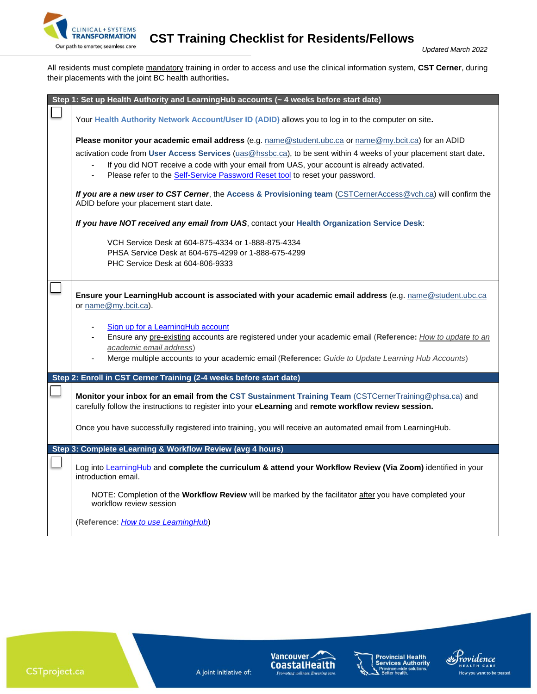

**CLINICAL+SYSTEMS**<br>Our path to smarter, seamless care **CST Training Checklist for Residents/Fellows** 

*Updated March <sup>2022</sup>*

All residents must complete mandatory training in order to access and use the clinical information system, **CST Cerner**, during their placements with the joint BC health authorities**.**

| Step 1: Set up Health Authority and LearningHub accounts (~ 4 weeks before start date)                                                                                                                                                                                                                                                                                                                                                                                                                                                                                                                                                                                                                                                                                                                             |
|--------------------------------------------------------------------------------------------------------------------------------------------------------------------------------------------------------------------------------------------------------------------------------------------------------------------------------------------------------------------------------------------------------------------------------------------------------------------------------------------------------------------------------------------------------------------------------------------------------------------------------------------------------------------------------------------------------------------------------------------------------------------------------------------------------------------|
| Your Health Authority Network Account/User ID (ADID) allows you to log in to the computer on site.                                                                                                                                                                                                                                                                                                                                                                                                                                                                                                                                                                                                                                                                                                                 |
| Please monitor your academic email address (e.g. name@student.ubc.ca or name@my.bcit.ca) for an ADID<br>activation code from User Access Services (uas@hssbc.ca), to be sent within 4 weeks of your placement start date.<br>If you did NOT receive a code with your email from UAS, your account is already activated.<br>Please refer to the Self-Service Password Reset tool to reset your password.<br>If you are a new user to CST Cerner, the Access & Provisioning team (CSTCernerAccess@vch.ca) will confirm the<br>ADID before your placement start date.<br>If you have NOT received any email from UAS, contact your Health Organization Service Desk:<br>VCH Service Desk at 604-875-4334 or 1-888-875-4334<br>PHSA Service Desk at 604-675-4299 or 1-888-675-4299<br>PHC Service Desk at 604-806-9333 |
| Ensure your LearningHub account is associated with your academic email address (e.g. name@student.ubc.ca<br>or name@my.bcit.ca).<br>Sign up for a LearningHub account<br>Ensure any pre-existing accounts are registered under your academic email (Reference: How to update to an<br>academic email address)<br>Merge multiple accounts to your academic email (Reference: Guide to Update Learning Hub Accounts)                                                                                                                                                                                                                                                                                                                                                                                                 |
| Step 2: Enroll in CST Cerner Training (2-4 weeks before start date)                                                                                                                                                                                                                                                                                                                                                                                                                                                                                                                                                                                                                                                                                                                                                |
| Monitor your inbox for an email from the CST Sustainment Training Team (CSTCernerTraining@phsa.ca) and<br>carefully follow the instructions to register into your eLearning and remote workflow review session.<br>Once you have successfully registered into training, you will receive an automated email from LearningHub.                                                                                                                                                                                                                                                                                                                                                                                                                                                                                      |
| Step 3: Complete eLearning & Workflow Review (avg 4 hours)                                                                                                                                                                                                                                                                                                                                                                                                                                                                                                                                                                                                                                                                                                                                                         |
| Log into LearningHub and complete the curriculum & attend your Workflow Review (Via Zoom) identified in your<br>introduction email.<br>NOTE: Completion of the Workflow Review will be marked by the facilitator after you have completed your<br>workflow review session                                                                                                                                                                                                                                                                                                                                                                                                                                                                                                                                          |
| (Reference: How to use LearningHub)                                                                                                                                                                                                                                                                                                                                                                                                                                                                                                                                                                                                                                                                                                                                                                                |